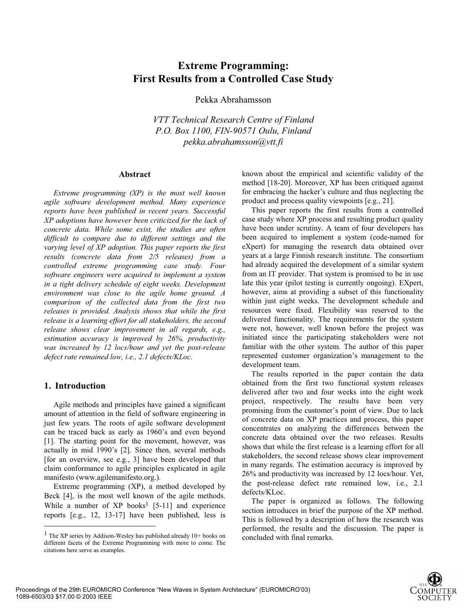# **Extreme Programming: First Results from a Controlled Case Study**

Pekka Abrahamsson

*VTT Technical Research Centre of Finland P.O. Box 1100, FIN-90571 Oulu, Finland pekka.abrahamsson@vtt.fi*

#### **Abstract**

*Extreme programming (XP) is the most well known agile software development method. Many experience reports have been published in recent years. Successful XP adoptions have however been criticized for the lack of concrete data. While some exist, the studies are often difficult to compare due to different settings and the varying level of XP adoption. This paper reports the first results (concrete data from 2/5 releases) from a controlled extreme programming case study. Four software engineers were acquired to implement a system in a tight delivery schedule of eight weeks. Development environment was close to the agile home ground. A comparison of the collected data from the first two releases is provided. Analysis shows that while the first release is a learning effort for all stakeholders, the second release shows clear improvement in all regards, e.g., estimation accuracy is improved by 26%, productivity was increased by 12 locs/hour and yet the post-release defect rate remained low, i.e., 2.1 defects/KLoc.*

#### **1. Introduction**

Agile methods and principles have gained a significant amount of attention in the field of software engineering in just few years. The roots of agile software development can be traced back as early as 1960's and even beyond [1]. The starting point for the movement, however, was actually in mid 1990's [2]. Since then, several methods [for an overview, see e.g., 3] have been developed that claim conformance to agile principles explicated in agile manifesto (www.agilemanifesto.org.).

Extreme programming (XP), a method developed by Beck [4], is the most well known of the agile methods. While a number of  $XP$  books<sup>1</sup> [5-11] and experience reports [e.g., 12, 13-17] have been published, less is known about the empirical and scientific validity of the method [18-20]. Moreover, XP has been critiqued against for embracing the hacker's culture and thus neglecting the product and process quality viewpoints [e.g., 21].

This paper reports the first results from a controlled case study where XP process and resulting product quality have been under scrutiny. A team of four developers has been acquired to implement a system (code-named for eXpert) for managing the research data obtained over years at a large Finnish research institute. The consortium had already acquired the development of a similar system from an IT provider. That system is promised to be in use late this year (pilot testing is currently ongoing). EXpert, however, aims at providing a subset of this functionality within just eight weeks. The development schedule and resources were fixed. Flexibility was reserved to the delivered functionality. The requirements for the system were not, however, well known before the project was initiated since the participating stakeholders were not familiar with the other system. The author of this paper represented customer organization's management to the development team.

The results reported in the paper contain the data obtained from the first two functional system releases delivered after two and four weeks into the eight week project, respectively. The results have been very promising from the customer's point of view. Due to lack of concrete data on XP practices and process, this paper concentrates on analyzing the differences between the concrete data obtained over the two releases. Results shows that while the first release is a learning effort for all stakeholders, the second release shows clear improvement in many regards. The estimation accuracy is improved by 26% and productivity was increased by 12 locs/hour. Yet, the post-release defect rate remained low, i.e., 2.1 defects/KLoc.

The paper is organized as follows. The following section introduces in brief the purpose of the XP method. This is followed by a description of how the research was performed, the results and the discussion. The paper is concluded with final remarks.

<sup>&</sup>lt;sup>1</sup> The XP series by Addison-Wesley has published already  $10+$  books on different facets of the Extreme Programming with more to come. The citations here serve as examples.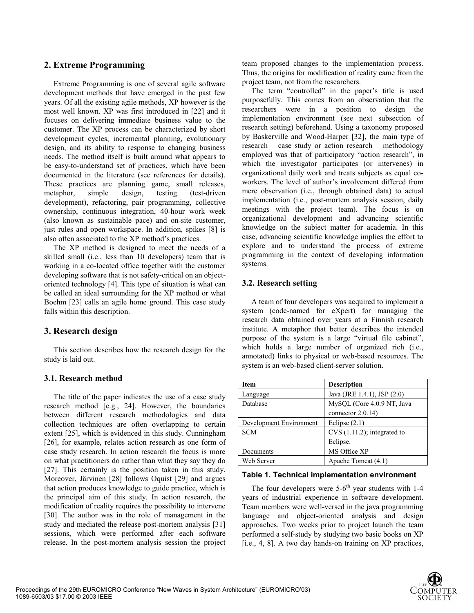# **2. Extreme Programming**

Extreme Programming is one of several agile software development methods that have emerged in the past few years. Of all the existing agile methods, XP however is the most well known. XP was first introduced in [22] and it focuses on delivering immediate business value to the customer. The XP process can be characterized by short development cycles, incremental planning, evolutionary design, and its ability to response to changing business needs. The method itself is built around what appears to be easy-to-understand set of practices, which have been documented in the literature (see references for details). These practices are planning game, small releases, metaphor, simple design, testing (test-driven development), refactoring, pair programming, collective ownership, continuous integration, 40-hour work week (also known as sustainable pace) and on-site customer, just rules and open workspace. In addition, spikes [8] is also often associated to the XP method's practices.

The XP method is designed to meet the needs of a skilled small (i.e., less than 10 developers) team that is working in a co-located office together with the customer developing software that is not safety-critical on an objectoriented technology [4]. This type of situation is what can be called an ideal surrounding for the XP method or what Boehm [23] calls an agile home ground. This case study falls within this description.

# **3. Research design**

This section describes how the research design for the study is laid out.

### **3.1. Research method**

The title of the paper indicates the use of a case study research method [e.g., 24]. However, the boundaries between different research methodologies and data collection techniques are often overlapping to certain extent [25], which is evidenced in this study. Cunningham [26], for example, relates action research as one form of case study research. In action research the focus is more on what practitioners do rather than what they say they do [27]. This certainly is the position taken in this study. Moreover, Järvinen [28] follows Oquist [29] and argues that action produces knowledge to guide practice, which is the principal aim of this study. In action research, the modification of reality requires the possibility to intervene [30]. The author was in the role of management in the study and mediated the release post-mortem analysis [31] sessions, which were performed after each software release. In the post-mortem analysis session the project team proposed changes to the implementation process. Thus, the origins for modification of reality came from the project team, not from the researchers.

The term "controlled" in the paper's title is used purposefully. This comes from an observation that the researchers were in a position to design the implementation environment (see next subsection of research setting) beforehand. Using a taxonomy proposed by Baskerville and Wood-Harper [32], the main type of research – case study or action research – methodology employed was that of participatory "action research", in which the investigator participates (or intervenes) in organizational daily work and treats subjects as equal coworkers. The level of author's involvement differed from mere observation (i.e., through obtained data) to actual implementation (i.e., post-mortem analysis session, daily meetings with the project team). The focus is on organizational development and advancing scientific knowledge on the subject matter for academia. In this case, advancing scientific knowledge implies the effort to explore and to understand the process of extreme programming in the context of developing information systems.

### **3.2. Research setting**

A team of four developers was acquired to implement a system (code-named for eXpert) for managing the research data obtained over years at a Finnish research institute. A metaphor that better describes the intended purpose of the system is a large "virtual file cabinet", which holds a large number of organized rich (i.e., annotated) links to physical or web-based resources. The system is an web-based client-server solution.

| Item                    | <b>Description</b>            |  |
|-------------------------|-------------------------------|--|
| Language                | Java (JRE 1.4.1), JSP (2.0)   |  |
| Database                | MySQL (Core 4.0.9 NT, Java    |  |
|                         | connector $2.0.14$ )          |  |
| Development Environment | Eclipse $(2.1)$               |  |
| <b>SCM</b>              | $CVS(1.11.2)$ ; integrated to |  |
|                         | Eclipse.                      |  |
| Documents               | MS Office XP                  |  |
| Web Server              | Apache Tomcat (4.1)           |  |

#### **Table 1. Technical implementation environment**

The four developers were  $5-6$ <sup>th</sup> year students with 1-4 years of industrial experience in software development. Team members were well-versed in the java programming language and object-oriented analysis and design approaches. Two weeks prior to project launch the team performed a self-study by studying two basic books on XP [i.e., 4, 8]. A two day hands-on training on XP practices,

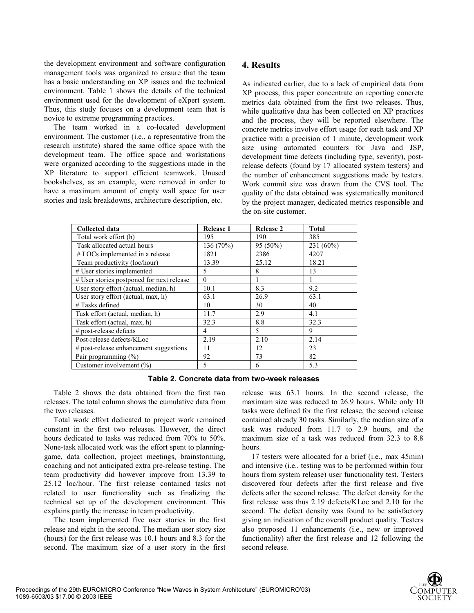the development environment and software configuration management tools was organized to ensure that the team has a basic understanding on XP issues and the technical environment. Table 1 shows the details of the technical environment used for the development of eXpert system. Thus, this study focuses on a development team that is novice to extreme programming practices.

The team worked in a co-located development environment. The customer (i.e., a representative from the research institute) shared the same office space with the development team. The office space and workstations were organized according to the suggestions made in the XP literature to support efficient teamwork. Unused bookshelves, as an example, were removed in order to have a maximum amount of empty wall space for user stories and task breakdowns, architecture description, etc.

#### **4. Results**

As indicated earlier, due to a lack of empirical data from XP process, this paper concentrate on reporting concrete metrics data obtained from the first two releases. Thus, while qualitative data has been collected on XP practices and the process, they will be reported elsewhere. The concrete metrics involve effort usage for each task and XP practice with a precision of 1 minute, development work size using automated counters for Java and JSP, development time defects (including type, severity), postrelease defects (found by 17 allocated system testers) and the number of enhancement suggestions made by testers. Work commit size was drawn from the CVS tool. The quality of the data obtained was systematically monitored by the project manager, dedicated metrics responsible and the on-site customer.

| <b>Collected data</b>                     | <b>Release 1</b> | <b>Release 2</b> | <b>Total</b> |
|-------------------------------------------|------------------|------------------|--------------|
| Total work effort (h)                     | 195              | 190              | 385          |
| Task allocated actual hours               | 136 (70%)        | $95(50\%)$       | 231 (60%)    |
| # LOCs implemented in a release           | 1821             | 2386             | 4207         |
| Team productivity (loc/hour)              | 13.39            | 25.12            | 18.21        |
| # User stories implemented                | 5                | 8                | 13           |
| # User stories postponed for next release | $\Omega$         |                  |              |
| User story effort (actual, median, h)     | 10.1             | 8.3              | 9.2          |
| User story effort (actual, max, h)        | 63.1             | 26.9             | 63.1         |
| # Tasks defined                           | 10               | 30               | 40           |
| Task effort (actual, median, h)           | 11.7             | 2.9              | 4.1          |
| Task effort (actual, max, h)              | 32.3             | 8.8              | 32.3         |
| # post-release defects                    | 4                | 5                | 9            |
| Post-release defects/KLoc                 | 2.19             | 2.10             | 2.14         |
| # post-release enhancement suggestions    | 11               | 12               | 23           |
| Pair programming $(\%)$                   | 92               | 73               | 82           |
| Customer involvement $(\% )$              | 5                | 6                | 5.3          |

#### **Table 2. Concrete data from two-week releases**

Table 2 shows the data obtained from the first two releases. The total column shows the cumulative data from the two releases.

Total work effort dedicated to project work remained constant in the first two releases. However, the direct hours dedicated to tasks was reduced from 70% to 50%. None-task allocated work was the effort spent to planninggame, data collection, project meetings, brainstorming, coaching and not anticipated extra pre-release testing. The team productivity did however improve from 13.39 to 25.12 loc/hour. The first release contained tasks not related to user functionality such as finalizing the technical set up of the development environment. This explains partly the increase in team productivity.

The team implemented five user stories in the first release and eight in the second. The median user story size (hours) for the first release was 10.1 hours and 8.3 for the second. The maximum size of a user story in the first release was 63.1 hours. In the second release, the maximum size was reduced to 26.9 hours. While only 10 tasks were defined for the first release, the second release contained already 30 tasks. Similarly, the median size of a task was reduced from 11.7 to 2.9 hours, and the maximum size of a task was reduced from 32.3 to 8.8 hours.

17 testers were allocated for a brief (i.e., max 45min) and intensive (i.e., testing was to be performed within four hours from system release) user functionality test. Testers discovered four defects after the first release and five defects after the second release. The defect density for the first release was thus 2.19 defects/KLoc and 2.10 for the second. The defect density was found to be satisfactory giving an indication of the overall product quality. Testers also proposed 11 enhancements (i.e., new or improved functionality) after the first release and 12 following the second release.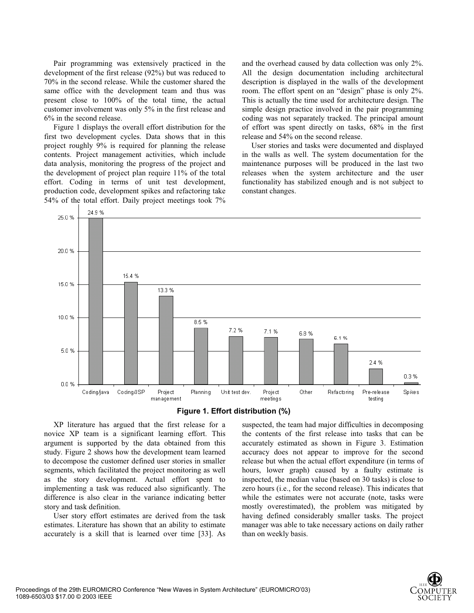Pair programming was extensively practiced in the development of the first release (92%) but was reduced to 70% in the second release. While the customer shared the same office with the development team and thus was present close to 100% of the total time, the actual customer involvement was only 5% in the first release and 6% in the second release.

Figure 1 displays the overall effort distribution for the first two development cycles. Data shows that in this project roughly 9% is required for planning the release contents. Project management activities, which include data analysis, monitoring the progress of the project and the development of project plan require 11% of the total effort. Coding in terms of unit test development, production code, development spikes and refactoring take 54% of the total effort. Daily project meetings took 7%

and the overhead caused by data collection was only 2%. All the design documentation including architectural description is displayed in the walls of the development room. The effort spent on an "design" phase is only 2%. This is actually the time used for architecture design. The simple design practice involved in the pair programming coding was not separately tracked. The principal amount of effort was spent directly on tasks, 68% in the first release and 54% on the second release.

User stories and tasks were documented and displayed in the walls as well. The system documentation for the maintenance purposes will be produced in the last two releases when the system architecture and the user functionality has stabilized enough and is not subject to constant changes.





XP literature has argued that the first release for a novice XP team is a significant learning effort. This argument is supported by the data obtained from this study. Figure 2 shows how the development team learned to decompose the customer defined user stories in smaller segments, which facilitated the project monitoring as well as the story development. Actual effort spent to implementing a task was reduced also significantly. The difference is also clear in the variance indicating better story and task definition.

User story effort estimates are derived from the task estimates. Literature has shown that an ability to estimate accurately is a skill that is learned over time [33]. As suspected, the team had major difficulties in decomposing the contents of the first release into tasks that can be accurately estimated as shown in Figure 3. Estimation accuracy does not appear to improve for the second release but when the actual effort expenditure (in terms of hours, lower graph) caused by a faulty estimate is inspected, the median value (based on 30 tasks) is close to zero hours (i.e., for the second release). This indicates that while the estimates were not accurate (note, tasks were mostly overestimated), the problem was mitigated by having defined considerably smaller tasks. The project manager was able to take necessary actions on daily rather than on weekly basis.

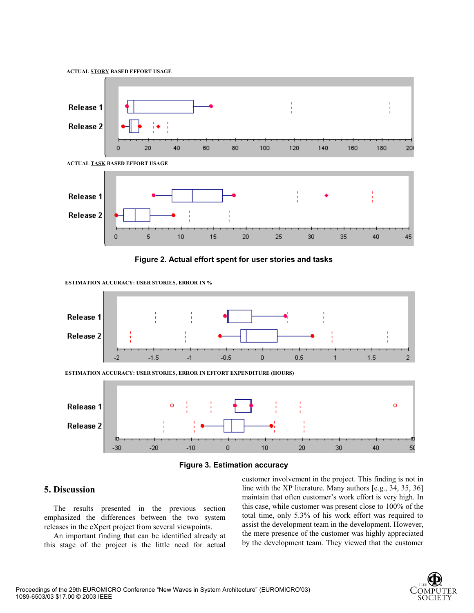**ACTUAL STORY BASED EFFORT USAGE**





**Figure 2. Actual effort spent for user stories and tasks**

**ESTIMATION ACCURACY: USER STORIES, ERROR IN %**



**ESTIMATION ACCURACY: USER STORIES, ERROR IN EFFORT EXPENDITURE (HOURS)**





### **5. Discussion**

The results presented in the previous section emphasized the differences between the two system releases in the eXpert project from several viewpoints.

An important finding that can be identified already at this stage of the project is the little need for actual

customer involvement in the project. This finding is not in line with the XP literature. Many authors [e.g., 34, 35, 36] maintain that often customer's work effort is very high. In this case, while customer was present close to 100% of the total time, only 5.3% of his work effort was required to assist the development team in the development. However, the mere presence of the customer was highly appreciated by the development team. They viewed that the customer

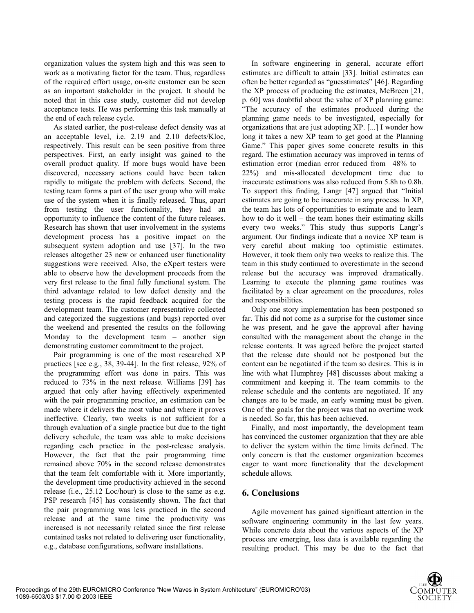organization values the system high and this was seen to work as a motivating factor for the team. Thus, regardless of the required effort usage, on-site customer can be seen as an important stakeholder in the project. It should be noted that in this case study, customer did not develop acceptance tests. He was performing this task manually at the end of each release cycle.

As stated earlier, the post-release defect density was at an acceptable level, i.e. 2.19 and 2.10 defects/Kloc, respectively. This result can be seen positive from three perspectives. First, an early insight was gained to the overall product quality. If more bugs would have been discovered, necessary actions could have been taken rapidly to mitigate the problem with defects. Second, the testing team forms a part of the user group who will make use of the system when it is finally released. Thus, apart from testing the user functionality, they had an opportunity to influence the content of the future releases. Research has shown that user involvement in the systems development process has a positive impact on the subsequent system adoption and use [37]. In the two releases altogether 23 new or enhanced user functionality suggestions were received. Also, the eXpert testers were able to observe how the development proceeds from the very first release to the final fully functional system. The third advantage related to low defect density and the testing process is the rapid feedback acquired for the development team. The customer representative collected and categorized the suggestions (and bugs) reported over the weekend and presented the results on the following Monday to the development team – another sign demonstrating customer commitment to the project.

Pair programming is one of the most researched XP practices [see e.g., 38, 39-44]. In the first release, 92% of the programming effort was done in pairs. This was reduced to 73% in the next release. Williams [39] has argued that only after having effectively experimented with the pair programming practice, an estimation can be made where it delivers the most value and where it proves ineffective. Clearly, two weeks is not sufficient for a through evaluation of a single practice but due to the tight delivery schedule, the team was able to make decisions regarding each practice in the post-release analysis. However, the fact that the pair programming time remained above 70% in the second release demonstrates that the team felt comfortable with it. More importantly, the development time productivity achieved in the second release (i.e., 25.12 Loc/hour) is close to the same as e.g. PSP research [45] has consistently shown. The fact that the pair programming was less practiced in the second release and at the same time the productivity was increased is not necessarily related since the first release contained tasks not related to delivering user functionality, e.g., database configurations, software installations.

In software engineering in general, accurate effort estimates are difficult to attain [33]. Initial estimates can often be better regarded as "guesstimates" [46]. Regarding the XP process of producing the estimates, McBreen [21, p. 60] was doubtful about the value of XP planning game: "The accuracy of the estimates produced during the planning game needs to be investigated, especially for organizations that are just adopting XP. [...] I wonder how long it takes a new XP team to get good at the Planning Game." This paper gives some concrete results in this regard. The estimation accuracy was improved in terms of estimation error (median error reduced from –48% to – 22%) and mis-allocated development time due to inaccurate estimations was also reduced from 5.8h to 0.8h. To support this finding, Langr [47] argued that "Initial estimates are going to be inaccurate in any process. In XP, the team has lots of opportunities to estimate and to learn how to do it well – the team hones their estimating skills every two weeks." This study thus supports Langr's argument. Our findings indicate that a novice XP team is very careful about making too optimistic estimates. However, it took them only two weeks to realize this. The team in this study continued to overestimate in the second release but the accuracy was improved dramatically. Learning to execute the planning game routines was facilitated by a clear agreement on the procedures, roles and responsibilities.

Only one story implementation has been postponed so far. This did not come as a surprise for the customer since he was present, and he gave the approval after having consulted with the management about the change in the release contents. It was agreed before the project started that the release date should not be postponed but the content can be negotiated if the team so desires. This is in line with what Humphrey [48] discusses about making a commitment and keeping it. The team commits to the release schedule and the contents are negotiated. If any changes are to be made, an early warning must be given. One of the goals for the project was that no overtime work is needed. So far, this has been achieved.

Finally, and most importantly, the development team has convinced the customer organization that they are able to deliver the system within the time limits defined. The only concern is that the customer organization becomes eager to want more functionality that the development schedule allows.

# **6. Conclusions**

Agile movement has gained significant attention in the software engineering community in the last few years. While concrete data about the various aspects of the XP process are emerging, less data is available regarding the resulting product. This may be due to the fact that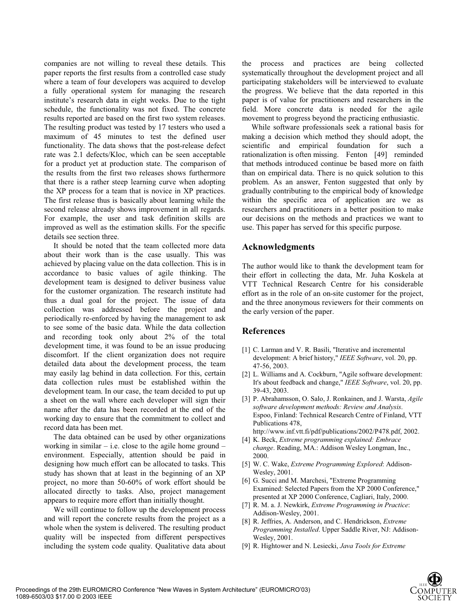companies are not willing to reveal these details. This paper reports the first results from a controlled case study where a team of four developers was acquired to develop a fully operational system for managing the research institute's research data in eight weeks. Due to the tight schedule, the functionality was not fixed. The concrete results reported are based on the first two system releases. The resulting product was tested by 17 testers who used a maximum of 45 minutes to test the defined user functionality. The data shows that the post-release defect rate was 2.1 defects/Kloc, which can be seen acceptable for a product yet at production state. The comparison of the results from the first two releases shows furthermore that there is a rather steep learning curve when adopting the XP process for a team that is novice in XP practices. The first release thus is basically about learning while the second release already shows improvement in all regards. For example, the user and task definition skills are improved as well as the estimation skills. For the specific details see section three.

It should be noted that the team collected more data about their work than is the case usually. This was achieved by placing value on the data collection. This is in accordance to basic values of agile thinking. The development team is designed to deliver business value for the customer organization. The research institute had thus a dual goal for the project. The issue of data collection was addressed before the project and periodically re-enforced by having the management to ask to see some of the basic data. While the data collection and recording took only about 2% of the total development time, it was found to be an issue producing discomfort. If the client organization does not require detailed data about the development process, the team may easily lag behind in data collection. For this, certain data collection rules must be established within the development team. In our case, the team decided to put up a sheet on the wall where each developer will sign their name after the data has been recorded at the end of the working day to ensure that the commitment to collect and record data has been met.

The data obtained can be used by other organizations working in similar  $-$  i.e. close to the agile home ground  $$ environment. Especially, attention should be paid in designing how much effort can be allocated to tasks. This study has shown that at least in the beginning of an XP project, no more than 50-60% of work effort should be allocated directly to tasks. Also, project management appears to require more effort than initially thought.

We will continue to follow up the development process and will report the concrete results from the project as a whole when the system is delivered. The resulting product quality will be inspected from different perspectives including the system code quality. Qualitative data about the process and practices are being collected systematically throughout the development project and all participating stakeholders will be interviewed to evaluate the progress. We believe that the data reported in this paper is of value for practitioners and researchers in the field. More concrete data is needed for the agile movement to progress beyond the practicing enthusiastic.

While software professionals seek a rational basis for making a decision which method they should adopt, the scientific and empirical foundation for such a rationalization is often missing. Fenton [49] reminded that methods introduced continue be based more on faith than on empirical data. There is no quick solution to this problem. As an answer, Fenton suggested that only by gradually contributing to the empirical body of knowledge within the specific area of application are we as researchers and practitioners in a better position to make our decisions on the methods and practices we want to use. This paper has served for this specific purpose.

### **Acknowledgments**

The author would like to thank the development team for their effort in collecting the data, Mr. Juha Koskela at VTT Technical Research Centre for his considerable effort as in the role of an on-site customer for the project, and the three anonymous reviewers for their comments on the early version of the paper.

# **References**

- [1] C. Larman and V. R. Basili, "Iterative and incremental development: A brief history," *IEEE Software*, vol. 20, pp. 47-56, 2003.
- [2] L. Williams and A. Cockburn, "Agile software development: It's about feedback and change," *IEEE Software*, vol. 20, pp. 39-43, 2003.
- [3] P. Abrahamsson, O. Salo, J. Ronkainen, and J. Warsta, *Agile software development methods: Review and Analysis*. Espoo, Finland: Technical Research Centre of Finland, VTT Publications 478, http://www.inf.vtt.fi/pdf/publications/2002/P478.pdf, 2002.
- [4] K. Beck, *Extreme programming explained: Embrace change*. Reading, MA.: Addison Wesley Longman, Inc., 2000.
- [5] W. C. Wake, *Extreme Programming Explored*: Addison-Wesley, 2001.
- [6] G. Succi and M. Marchesi, "Extreme Programming Examined: Selected Papers from the XP 2000 Conference," presented at XP 2000 Conference, Cagliari, Italy, 2000.
- [7] R. M. a. J. Newkirk, *Extreme Programming in Practice*: Addison-Wesley, 2001.
- [8] R. Jeffries, A. Anderson, and C. Hendrickson, *Extreme Programming Installed*. Upper Saddle River, NJ: Addison-Wesley, 2001.
- [9] R. Hightower and N. Lesiecki, *Java Tools for Extreme*